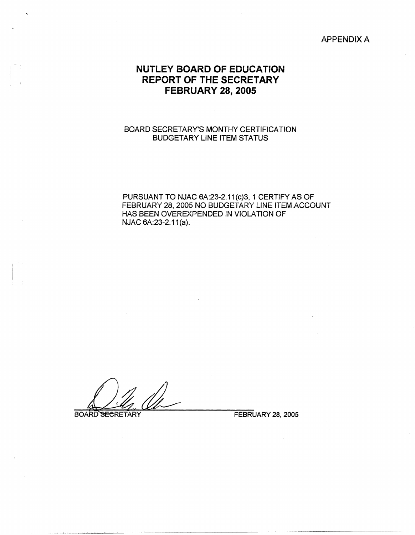## APPENDIX A

## **NUTLEY BOARD OF EDUCATION REPORT OF THE SECRETARY FEBRUARY 28, 2005**

## BOARD SECRETARY'S MONTHY CERTIFICATION BUDGETARY LINE ITEM STATUS

PURSUANT TO NJAC 6A:23-2.11(c)3, 1 CERTIFY AS OF FEBRUARY 28, 2005 NO BUDGETARY LINE ITEM ACCOUNT HAS BEEN OVEREXPENDED IN VIOLATION OF NJAC 6A:23-2.11(a).

**BOARD SECRETARY**<br>BOARD SECRETARY *PEBRUARY 28, 2005* 

 $J_{\rm eff}$  and  $J_{\rm eff}$  are  $J_{\rm eff}$  and  $J_{\rm eff}$  are  $J_{\rm eff}$  and  $J_{\rm eff}$  are  $J_{\rm eff}$  and  $J_{\rm eff}$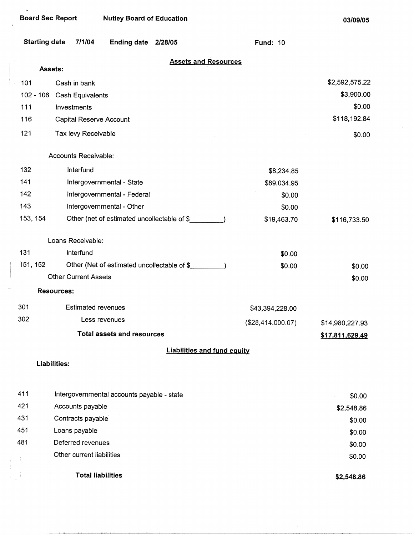$\lambda$ 

**03/09/05** 

| <b>Starting date</b> | 7/1/04<br>Ending date 2/28/05               | <b>Fund: 10</b>   |                 |
|----------------------|---------------------------------------------|-------------------|-----------------|
|                      | <b>Assets and Resources</b><br>Assets:      |                   |                 |
| 101                  | Cash in bank                                |                   | \$2,592,575.22  |
| $102 - 106$          | Cash Equivalents                            |                   | \$3,900.00      |
| 111                  | Investments                                 |                   | \$0.00          |
| 116                  | Capital Reserve Account                     |                   | \$118,192.84    |
|                      |                                             |                   |                 |
| 121                  | Tax levy Receivable                         |                   | \$0.00          |
|                      | Accounts Receivable:                        |                   |                 |
| 132                  | Interfund                                   | \$8,234.85        |                 |
| 141                  | Intergovernmental - State                   | \$89,034.95       |                 |
| 142                  | Intergovernmental - Federal                 | \$0.00            |                 |
| 143                  | Intergovernmental - Other                   | \$0.00            |                 |
| 153, 154             | Other (net of estimated uncollectable of \$ | \$19,463.70       | \$116,733.50    |
|                      | Loans Receivable:                           |                   |                 |
| 131                  | Interfund                                   | \$0.00            |                 |
| 151, 152             | Other (Net of estimated uncollectable of \$ | \$0.00            | \$0.00          |
|                      | <b>Other Current Assets</b>                 |                   | \$0.00          |
|                      | <b>Resources:</b>                           |                   |                 |
| 301                  | <b>Estimated revenues</b>                   | \$43,394,228.00   |                 |
| 302                  | Less revenues                               | (\$28,414,000.07) | \$14,980,227.93 |
|                      | Total assets and resources                  |                   | \$17,811,629.49 |
|                      | <b>Liabilities and fund equity</b>          |                   |                 |
|                      | Liabilities:                                |                   |                 |
|                      |                                             |                   |                 |
| 411                  | Intergovernmental accounts payable - state  |                   | \$0.00          |
| 421                  | Accounts payable                            |                   | \$2,548.86      |
| 431                  | Contracts payable                           |                   | \$0.00          |
| 451                  | Loans payable                               |                   | \$0.00          |
| 481                  | Deferred revenues                           |                   | \$0.00          |
|                      | Other current liabilities                   |                   | \$0.00          |

Total liabilities

 $\mathbb{E}[\mathbb{I}]$ 

 $\mathcal{A}$ 

والمستنكر والمستردد

**\$2,548.86**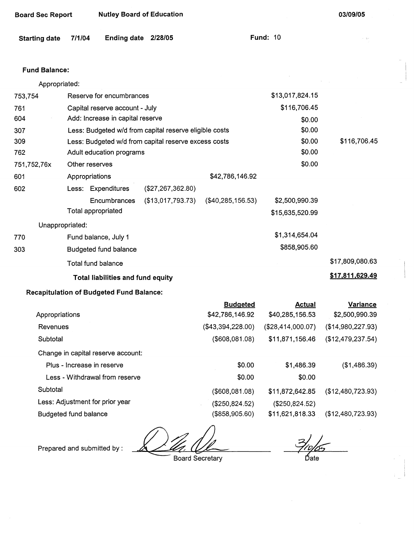| <b>Starting date</b> | 7/1/04          | Ending date 2/28/05                             |                                                        |                   | <b>Fund: 10</b>   | e ger             |
|----------------------|-----------------|-------------------------------------------------|--------------------------------------------------------|-------------------|-------------------|-------------------|
| <b>Fund Balance:</b> |                 |                                                 |                                                        |                   |                   |                   |
| Appropriated:        |                 |                                                 |                                                        |                   |                   |                   |
| 753,754              |                 | Reserve for encumbrances                        |                                                        |                   | \$13,017,824.15   |                   |
| 761                  |                 | Capital reserve account - July                  |                                                        |                   | \$116,706.45      |                   |
| 604                  |                 | Add: Increase in capital reserve                |                                                        |                   | \$0.00            |                   |
| 307                  |                 |                                                 | Less: Budgeted w/d from capital reserve eligible costs |                   | \$0.00            |                   |
| 309                  |                 |                                                 | Less: Budgeted w/d from capital reserve excess costs   |                   | \$0.00            | \$116,706.45      |
| 762                  |                 | Adult education programs                        |                                                        |                   | \$0.00            |                   |
| 751,752,76x          |                 | Other reserves                                  |                                                        |                   | \$0.00            |                   |
| 601                  | Appropriations  |                                                 |                                                        | \$42,786,146.92   |                   |                   |
| 602                  |                 | Less: Expenditures                              | (\$27,267,362.80)                                      |                   |                   |                   |
|                      |                 | <b>Encumbrances</b>                             | (\$13,017,793.73)                                      | (\$40,285,156.53) | \$2,500,990.39    |                   |
|                      |                 | Total appropriated                              |                                                        |                   | \$15,635,520.99   |                   |
|                      | Unappropriated: |                                                 |                                                        |                   |                   |                   |
| 770                  |                 | Fund balance, July 1                            |                                                        |                   | \$1,314,654.04    |                   |
| 303                  |                 | Budgeted fund balance                           |                                                        |                   | \$858,905.60      |                   |
|                      |                 | <b>Total fund balance</b>                       |                                                        |                   |                   | \$17,809,080.63   |
|                      |                 | Total liabilities and fund equity               |                                                        |                   |                   | \$17,811,629.49   |
|                      |                 | <b>Recapitulation of Budgeted Fund Balance:</b> |                                                        |                   |                   |                   |
|                      |                 |                                                 |                                                        | <b>Budgeted</b>   | <b>Actual</b>     | <b>Variance</b>   |
| Appropriations       |                 |                                                 |                                                        | \$42,786,146.92   | \$40,285,156.53   | \$2,500,990.39    |
| Revenues             |                 |                                                 |                                                        | (\$43,394,228.00) | (\$28,414,000.07) | (\$14,980,227.93) |
| Subtotal             |                 |                                                 |                                                        | $($ \$608,081.08) | \$11,871,156.46   | (\$12,479,237.54) |
|                      |                 | Change in capital reserve account:              |                                                        |                   |                   |                   |
|                      |                 | Plus - Increase in reserve                      |                                                        | \$0.00            | \$1,486.39        | (\$1,486.39)      |
|                      |                 | Less - Withdrawal from reserve                  |                                                        | \$0.00            | \$0.00            |                   |

Subtotal

Less: Adjustment for prior year

Board Sec Report Nutley Board of Education

Budgeted fund balance

Prepared and submitted by :

Board Secretary

(\$608,081.08) (\$250,824.52) (\$858,905.60)

Date

(\$12,480,723.93)

(\$12,480,723.93)

**03/09/05** 

\$11,872,642.85 (\$250,824.52) \$11,621,818.33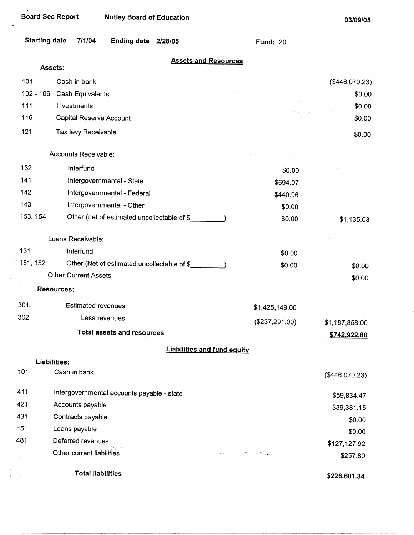$\overline{\phantom{a}}$ 

 $\frac{1}{2}$ 

| <b>Starting date</b> |                             | 7/1/04                    | <b>Ending date</b>                          | 2/28/05 |                                    | <b>Fund: 20</b> |                |
|----------------------|-----------------------------|---------------------------|---------------------------------------------|---------|------------------------------------|-----------------|----------------|
|                      | Assets:                     |                           |                                             |         | <b>Assets and Resources</b>        |                 |                |
| 101                  | Cash in bank                |                           |                                             |         |                                    |                 | (\$446,070.23) |
| $102 - 106$          |                             | Cash Equivalents          |                                             |         |                                    |                 | \$0.00         |
| 111                  | Investments                 |                           |                                             |         |                                    |                 | \$0.00         |
| 116                  |                             | Capital Reserve Account   |                                             |         |                                    |                 | \$0.00         |
| 121                  |                             | Tax levy Receivable       |                                             |         |                                    |                 | \$0.00         |
|                      | Accounts Receivable:        |                           |                                             |         |                                    |                 |                |
| 132                  |                             | Interfund                 |                                             |         |                                    | \$0.00          |                |
| 141                  |                             |                           | Intergovernmental - State                   |         |                                    | \$694.07        |                |
| 142                  |                             |                           | Intergovernmental - Federal                 |         |                                    | \$440.96        |                |
| 143                  |                             |                           | Intergovernmental - Other                   |         |                                    | \$0.00          |                |
| 153, 154             |                             |                           | Other (net of estimated uncollectable of \$ |         |                                    | \$0.00          | \$1,135.03     |
|                      | Loans Receivable:           |                           |                                             |         |                                    |                 |                |
| 131                  | Interfund                   |                           |                                             |         |                                    | \$0.00          |                |
| 151, 152             |                             |                           | Other (Net of estimated uncollectable of \$ |         |                                    | \$0.00          | \$0.00         |
|                      | <b>Other Current Assets</b> |                           |                                             |         |                                    |                 | \$0.00         |
|                      | <b>Resources:</b>           |                           |                                             |         |                                    |                 |                |
| 301                  |                             | <b>Estimated revenues</b> |                                             |         |                                    | \$1,425,149.00  |                |
| 302                  |                             | Less revenues             |                                             |         |                                    | (\$237,291.00)  | \$1,187,858.00 |
|                      |                             |                           | <b>Total assets and resources</b>           |         |                                    |                 | \$742,922.80   |
|                      |                             |                           |                                             |         | <b>Liabilities and fund equity</b> |                 |                |
|                      | Liabilities:                |                           |                                             |         |                                    |                 |                |
| 101                  | Cash in bank                |                           |                                             |         |                                    |                 | (\$446,070.23) |
| 411                  |                             |                           | Intergovernmental accounts payable - state  |         |                                    |                 | \$59,834.47    |
| 421                  | Accounts payable            |                           |                                             |         |                                    |                 | \$39,381.15    |
| 431                  | Contracts payable           |                           |                                             |         |                                    |                 | \$0.00         |
| 451                  | Loans payable               |                           |                                             |         |                                    |                 | \$0.00         |
| 481                  | Deferred revenues           |                           |                                             |         |                                    |                 | \$127,127.92   |
|                      | Other current liabilities   |                           |                                             |         |                                    |                 | \$257.80       |
|                      |                             | <b>Total liabilities</b>  |                                             |         |                                    |                 | \$226,601.34   |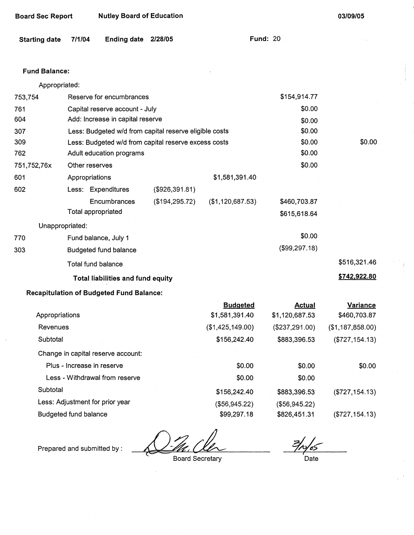| <b>Board Sec Report</b> |        | <b>Nutley Board of Education</b>                       |                 |                  | 03/09/05        |                  |
|-------------------------|--------|--------------------------------------------------------|-----------------|------------------|-----------------|------------------|
| <b>Starting date</b>    | 7/1/04 | <b>Ending date</b>                                     | 2/28/05         |                  | <b>Fund: 20</b> |                  |
| <b>Fund Balance:</b>    |        |                                                        |                 |                  |                 |                  |
| Appropriated:           |        |                                                        |                 |                  |                 |                  |
| 753,754                 |        | Reserve for encumbrances                               |                 |                  | \$154,914.77    |                  |
| 761                     |        | Capital reserve account - July                         |                 |                  | \$0.00          |                  |
| 604                     |        | Add: Increase in capital reserve                       |                 |                  | \$0.00          |                  |
| 307                     |        | Less: Budgeted w/d from capital reserve eligible costs |                 |                  | \$0.00          |                  |
| 309                     |        | Less: Budgeted w/d from capital reserve excess costs   |                 |                  | \$0.00          | \$0.00           |
| 762                     |        | Adult education programs                               |                 |                  | \$0.00          |                  |
| 751,752,76x             |        | Other reserves                                         |                 |                  | \$0.00          |                  |
| 601                     |        | Appropriations                                         |                 | \$1,581,391.40   |                 |                  |
| 602                     |        | Less: Expenditures                                     | (\$926,391.81)  |                  |                 |                  |
|                         |        | Encumbrances                                           | (\$194, 295.72) | (\$1,120,687.53) | \$460,703.87    |                  |
|                         |        | Total appropriated                                     |                 |                  | \$615,618.64    |                  |
| Unappropriated:         |        |                                                        |                 |                  |                 |                  |
| 770                     |        | Fund balance, July 1                                   |                 |                  | \$0.00          |                  |
| 303                     |        | Budgeted fund balance                                  |                 |                  | (\$99,297.18)   |                  |
|                         |        | Total fund balance                                     |                 |                  |                 | \$516,321.46     |
|                         |        | Total liabilities and fund equity                      |                 |                  |                 | \$742,922.80     |
|                         |        | <b>Recapitulation of Budgeted Fund Balance:</b>        |                 |                  |                 |                  |
|                         |        |                                                        |                 | <b>Budgeted</b>  | <b>Actual</b>   | Variance         |
| Appropriations          |        |                                                        |                 | \$1,581,391.40   | \$1,120,687.53  | \$460,703.87     |
| Revenues                |        |                                                        |                 | (\$1,425,149.00) | (\$237, 291.00) | (\$1,187,858.00) |

Subtotal \$156,242.40 Change in capital reserve account: Plus - Increase in reserve \$0.00 Less - Withdrawal from reserve **\$0.00** Subtotal \$156,242.40 Less: Adjustment for prior year (\$56,945.22) Budgeted fund balance \$99,297.18 \$883,396.53 \$0.00 \$0.00 \$883,396.53 (\$56,945.22) \$826,451.31 (\$727,154.13) \$0.00 (\$727,154.13) (\$727,154.13)

Prepared and submitted by:

Board Secretary

 $^{7}$ ۵Ŝ Date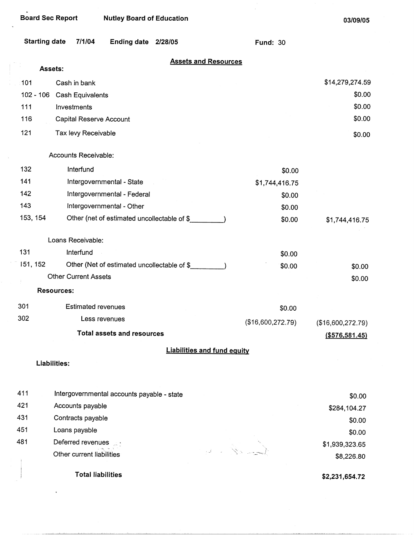$\mathcal{A}$ 

 $\bar{\mathcal{A}}$ 

.

**03/09/05** 

| <b>Starting date</b> | 7/1/04                                      | Ending date 2/28/05                | <b>Fund: 30</b>                |                   |
|----------------------|---------------------------------------------|------------------------------------|--------------------------------|-------------------|
|                      | Assets:                                     | <b>Assets and Resources</b>        |                                |                   |
| 101                  | Cash in bank                                |                                    |                                | \$14,279,274.59   |
|                      | 102 - 106 Cash Equivalents                  |                                    |                                | \$0.00            |
| 111                  | Investments                                 |                                    |                                | \$0.00            |
| 116                  | Capital Reserve Account                     |                                    |                                | \$0.00            |
| 121                  | Tax levy Receivable                         |                                    |                                | \$0.00            |
|                      | Accounts Receivable:                        |                                    |                                |                   |
| 132                  | Interfund                                   |                                    | \$0.00                         |                   |
| 141                  | Intergovernmental - State                   |                                    | \$1,744,416.75                 |                   |
| 142                  | Intergovernmental - Federal                 |                                    | \$0.00                         |                   |
| 143                  | Intergovernmental - Other                   |                                    | \$0.00                         |                   |
| 153, 154             | Other (net of estimated uncollectable of \$ |                                    | \$0.00                         | \$1,744,416.75    |
|                      | Loans Receivable:                           |                                    |                                |                   |
| 131                  | Interfund                                   |                                    | \$0.00                         |                   |
| 151, 152             | Other (Net of estimated uncollectable of \$ |                                    | \$0.00                         | \$0.00            |
|                      | <b>Other Current Assets</b>                 |                                    |                                | \$0.00            |
|                      | <b>Resources:</b>                           |                                    |                                |                   |
| 301                  | <b>Estimated revenues</b>                   |                                    | \$0.00                         |                   |
| 302                  | Less revenues                               |                                    | (\$16,600,272.79)              | (\$16,600,272.79) |
|                      | <b>Total assets and resources</b>           |                                    |                                | ( \$576, 581.45)  |
|                      |                                             | <b>Liabilities and fund equity</b> |                                |                   |
|                      | Liabilities:                                |                                    |                                |                   |
| 411                  | Intergovernmental accounts payable - state  |                                    |                                | \$0.00            |
| 421                  | Accounts payable                            |                                    |                                | \$284,104.27      |
| 431                  | Contracts payable                           |                                    |                                | \$0.00            |
| 451                  | Loans payable                               |                                    |                                | \$0.00            |
| 481                  | Deferred revenues at                        |                                    | $\mathbb{Z} \cup \mathbb{Z}$ . | \$1,939,323.65    |
|                      | Other current liabilities                   |                                    |                                | \$8,226.80        |
|                      | <b>Total liabilities</b>                    |                                    |                                | \$2,231,654.72    |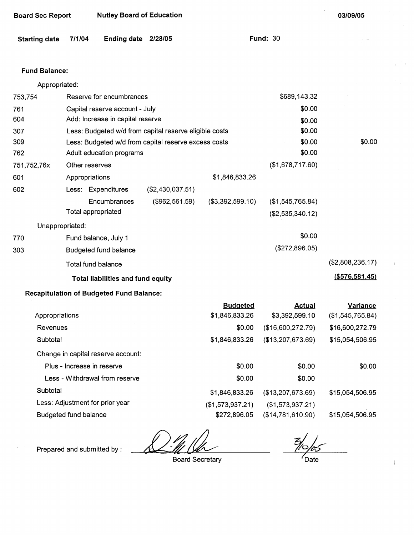| <b>Nutley Board of Education</b><br><b>Board Sec Report</b> |                            |                                                 |                                                        |                                   | 03/09/05                        |                              |
|-------------------------------------------------------------|----------------------------|-------------------------------------------------|--------------------------------------------------------|-----------------------------------|---------------------------------|------------------------------|
| <b>Starting date</b>                                        | 7/1/04                     | Ending date 2/28/05                             |                                                        |                                   | <b>Fund: 30</b>                 |                              |
| <b>Fund Balance:</b>                                        |                            |                                                 |                                                        |                                   |                                 |                              |
| Appropriated:                                               |                            |                                                 |                                                        |                                   |                                 |                              |
| 753,754                                                     |                            | Reserve for encumbrances                        |                                                        |                                   | \$689,143.32                    |                              |
| 761                                                         |                            | Capital reserve account - July                  |                                                        |                                   | \$0.00                          |                              |
| 604                                                         |                            | Add: Increase in capital reserve                |                                                        |                                   | \$0.00                          |                              |
| 307                                                         |                            |                                                 | Less: Budgeted w/d from capital reserve eligible costs |                                   | \$0.00                          |                              |
| 309                                                         |                            |                                                 | Less: Budgeted w/d from capital reserve excess costs   |                                   | \$0.00                          | \$0.00                       |
| 762                                                         |                            | Adult education programs                        |                                                        |                                   | \$0.00                          |                              |
| 751,752,76x                                                 | Other reserves             |                                                 |                                                        |                                   | (\$1,678,717.60)                |                              |
| 601                                                         | Appropriations             |                                                 |                                                        | \$1,846,833.26                    |                                 |                              |
| 602                                                         |                            | Less: Expenditures                              | (\$2,430,037.51)                                       |                                   |                                 |                              |
|                                                             |                            | Encumbrances                                    | (\$962,561.59)                                         | (\$3,392,599.10)                  | (\$1,545,765.84)                |                              |
|                                                             | Total appropriated         |                                                 |                                                        |                                   | (\$2,535,340.12)                |                              |
| Unappropriated:                                             |                            |                                                 |                                                        |                                   | \$0.00                          |                              |
| 770                                                         |                            | Fund balance, July 1                            |                                                        |                                   |                                 |                              |
| 303                                                         |                            | <b>Budgeted fund balance</b>                    |                                                        |                                   | (\$272,896.05)                  |                              |
|                                                             |                            | <b>Total fund balance</b>                       |                                                        |                                   |                                 | (\$2,808,236.17)             |
|                                                             |                            | Total liabilities and fund equity               |                                                        |                                   |                                 | ( \$576, 581.45)             |
|                                                             |                            | <b>Recapitulation of Budgeted Fund Balance:</b> |                                                        |                                   |                                 |                              |
| Appropriations                                              |                            |                                                 |                                                        | <b>Budgeted</b><br>\$1,846,833.26 | <b>Actual</b><br>\$3,392,599.10 | Variance<br>(\$1,545,765.84) |
| Revenues                                                    |                            |                                                 |                                                        | \$0.00                            | (\$16,600,272.79)               | \$16,600,272.79              |
| Subtotal                                                    |                            |                                                 |                                                        | \$1,846,833.26                    | (\$13,207,673.69)               | \$15,054,506.95              |
|                                                             |                            | Change in capital reserve account:              |                                                        |                                   |                                 |                              |
|                                                             | Plus - Increase in reserve |                                                 |                                                        | \$0.00                            | \$0.00                          | \$0.00                       |
|                                                             |                            | Less - Withdrawal from reserve                  |                                                        | \$0.00                            | \$0.00                          |                              |
| Subtotal                                                    |                            |                                                 |                                                        | \$1,846,833.26                    | (\$13,207,673.69)               | \$15,054,506.95              |
|                                                             |                            | Less: Adjustment for prior year                 |                                                        | (\$1,573,937.21)                  | (\$1,573,937.21)                |                              |
|                                                             | Budgeted fund balance      |                                                 |                                                        | \$272,896.05                      | (\$14,781,610.90)               | \$15,054,506.95              |

 $\cdot$ 

Prepared and submitted by :

Board Secretary

Date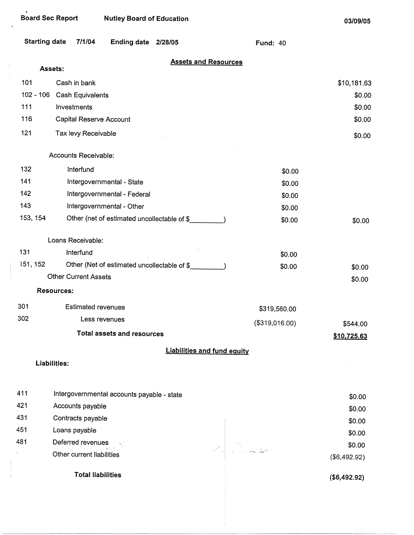|             | <b>Starting date</b> | 7/1/04                      | <b>Ending date</b>                          | 2/28/05 |                                    | <b>Fund: 40</b> |                        |
|-------------|----------------------|-----------------------------|---------------------------------------------|---------|------------------------------------|-----------------|------------------------|
|             | Assets:              |                             |                                             |         | <b>Assets and Resources</b>        |                 |                        |
| 101         |                      | Cash in bank                |                                             |         |                                    |                 | \$10,181.63            |
| $102 - 106$ |                      | Cash Equivalents            |                                             |         |                                    |                 | \$0.00                 |
| 111         |                      | Investments                 |                                             |         |                                    |                 | \$0.00                 |
| 116         |                      | Capital Reserve Account     |                                             |         |                                    |                 | \$0.00                 |
| 121         |                      | Tax levy Receivable         |                                             |         |                                    |                 | \$0.00                 |
|             |                      | Accounts Receivable:        |                                             |         |                                    |                 |                        |
| 132         |                      | Interfund                   |                                             |         |                                    | \$0.00          |                        |
| 141         |                      |                             | Intergovernmental - State                   |         |                                    | \$0.00          |                        |
| 142         |                      |                             | Intergovernmental - Federal                 |         |                                    | \$0.00          |                        |
| 143         |                      |                             | Intergovernmental - Other                   |         |                                    | \$0.00          |                        |
| 153, 154    |                      |                             | Other (net of estimated uncollectable of \$ |         |                                    | \$0.00          | \$0.00                 |
|             |                      | Loans Receivable:           |                                             |         |                                    |                 |                        |
| 131         |                      | Interfund                   |                                             |         |                                    | \$0.00          |                        |
| 151, 152    |                      |                             | Other (Net of estimated uncollectable of \$ |         |                                    | \$0.00          | \$0.00                 |
|             |                      | <b>Other Current Assets</b> |                                             |         |                                    |                 | \$0.00                 |
|             | <b>Resources:</b>    |                             |                                             |         |                                    |                 |                        |
| 301         |                      | <b>Estimated revenues</b>   |                                             |         |                                    | \$319,560.00    |                        |
| 302         |                      | Less revenues               |                                             |         |                                    | (\$319,016.00)  | \$544.00               |
|             |                      |                             | <b>Total assets and resources</b>           |         |                                    |                 | <u>\$10,725.63</u>     |
|             |                      |                             |                                             |         | <b>Liabilities and fund equity</b> |                 |                        |
|             | Liabilities:         |                             |                                             |         |                                    |                 |                        |
| 411         |                      |                             | Intergovernmental accounts payable - state  |         |                                    |                 |                        |
| 421         |                      | Accounts payable            |                                             |         |                                    |                 | \$0.00                 |
| 431         |                      | Contracts payable           |                                             |         |                                    |                 | \$0.00                 |
| 451         |                      | Loans payable               |                                             |         |                                    |                 | \$0.00                 |
| 481         |                      | Deferred revenues           |                                             |         |                                    |                 | \$0.00                 |
|             |                      | Other current liabilities   |                                             |         |                                    |                 | \$0.00<br>(\$6,492.92) |
|             |                      | <b>Total liabilities</b>    |                                             |         |                                    |                 | (\$6,492.92)           |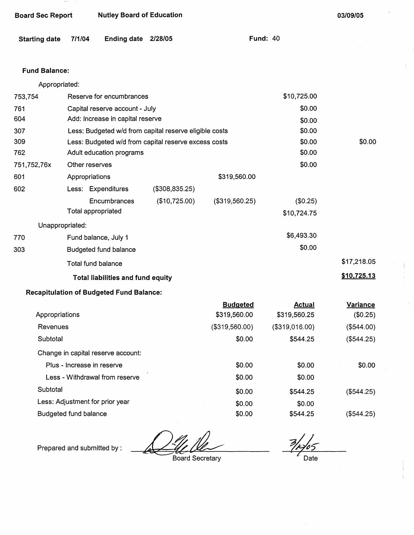| <b>Nutley Board of Education</b><br><b>Board Sec Report</b> |        |                                                 |                                                        |                                 | 03/09/05                      |                             |
|-------------------------------------------------------------|--------|-------------------------------------------------|--------------------------------------------------------|---------------------------------|-------------------------------|-----------------------------|
| <b>Starting date</b>                                        | 7/1/04 | <b>Ending date</b>                              | 2/28/05                                                |                                 | <b>Fund: 40</b>               |                             |
| <b>Fund Balance:</b>                                        |        |                                                 |                                                        |                                 |                               |                             |
| Appropriated:                                               |        |                                                 |                                                        |                                 |                               |                             |
| 753,754                                                     |        | Reserve for encumbrances                        |                                                        |                                 | \$10,725.00                   |                             |
| 761                                                         |        | Capital reserve account - July                  |                                                        |                                 | \$0.00                        |                             |
| 604                                                         |        | Add: Increase in capital reserve                |                                                        |                                 | \$0.00                        |                             |
| 307                                                         |        |                                                 | Less: Budgeted w/d from capital reserve eligible costs |                                 | \$0.00                        |                             |
| 309                                                         |        |                                                 | Less: Budgeted w/d from capital reserve excess costs   |                                 | \$0.00                        | \$0.00                      |
| 762                                                         |        | Adult education programs                        |                                                        |                                 | \$0.00                        |                             |
| 751,752,76x                                                 |        | Other reserves                                  |                                                        |                                 | \$0.00                        |                             |
| 601                                                         |        | Appropriations                                  |                                                        | \$319,560.00                    |                               |                             |
| 602                                                         |        | Less: Expenditures                              | (\$308,835.25)                                         |                                 |                               |                             |
|                                                             |        | Encumbrances                                    | (\$10,725.00)                                          | (\$319,560.25)                  | (\$0.25)                      |                             |
|                                                             |        | Total appropriated                              |                                                        |                                 | \$10,724.75                   |                             |
| Unappropriated:                                             |        |                                                 |                                                        |                                 |                               |                             |
| 770                                                         |        | Fund balance, July 1                            |                                                        |                                 | \$6,493.30                    |                             |
| 303                                                         |        | Budgeted fund balance                           |                                                        |                                 | \$0.00                        |                             |
|                                                             |        | Total fund balance                              |                                                        |                                 |                               | \$17,218.05                 |
|                                                             |        | <b>Total liabilities and fund equity</b>        |                                                        |                                 |                               | \$10,725.13                 |
|                                                             |        | <b>Recapitulation of Budgeted Fund Balance:</b> |                                                        |                                 |                               |                             |
| Appropriations                                              |        |                                                 |                                                        | <b>Budgeted</b><br>\$319,560.00 | <b>Actual</b><br>\$319,560.25 | <b>Variance</b><br>(\$0.25) |
| Revenues                                                    |        |                                                 |                                                        | (\$319,560.00)                  | (\$319,016.00)                | (\$544.00)                  |
| Subtotal                                                    |        |                                                 |                                                        | \$0.00                          | \$544.25                      | (\$544.25)                  |
|                                                             |        | Change in capital reserve account:              |                                                        |                                 |                               |                             |

| Appropriations                     | \$319,560.00   | \$319,560.25   | (\$0.25)   |
|------------------------------------|----------------|----------------|------------|
| Revenues                           | (\$319,560.00) | (\$319,016.00) | (\$544.00) |
| Subtotal                           | \$0.00         | \$544.25       | (\$544.25) |
| Change in capital reserve account: |                |                |            |
| Plus - Increase in reserve         | \$0.00         | \$0.00         | \$0.00     |
| Less - Withdrawal from reserve     | \$0.00         | \$0.00         |            |
| Subtotal                           | \$0.00         | \$544.25       | (\$544.25) |
| Less: Adjustment for prior year    | \$0.00         | \$0.00         |            |
| Budgeted fund balance              | \$0.00         | \$544.25       | (\$544.25) |

Prepared and submitted by :

Board Secretary

 $\frac{2}{\frac{1}{2}}$  Date

 $\frac{1}{2}$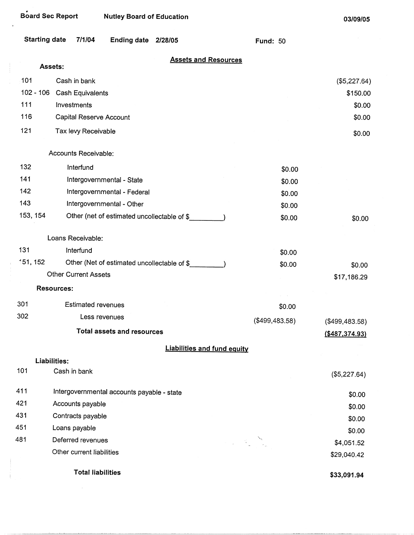| <b>Board Sec Report</b> | <b>Nutley Board of Education</b>            |                                                                                                         | 03/09/05              |
|-------------------------|---------------------------------------------|---------------------------------------------------------------------------------------------------------|-----------------------|
| <b>Starting date</b>    | 7/1/04<br>Ending date 2/28/05               | <b>Fund: 50</b>                                                                                         |                       |
|                         | <b>Assets and Resources</b>                 |                                                                                                         |                       |
| Assets:                 |                                             |                                                                                                         |                       |
| 101                     | Cash in bank                                |                                                                                                         | (\$5,227.64)          |
| $102 - 106$<br>111      | <b>Cash Equivalents</b>                     |                                                                                                         | \$150.00              |
| 116                     | Investments                                 |                                                                                                         | \$0.00                |
|                         | Capital Reserve Account                     |                                                                                                         | \$0.00                |
| 121                     | Tax levy Receivable                         |                                                                                                         | \$0.00                |
|                         | Accounts Receivable:                        |                                                                                                         |                       |
| 132                     | Interfund                                   | \$0.00                                                                                                  |                       |
| 141                     | Intergovernmental - State                   | \$0.00                                                                                                  |                       |
| 142                     | Intergovernmental - Federal                 | \$0.00                                                                                                  |                       |
| 143                     | Intergovernmental - Other                   | \$0.00                                                                                                  |                       |
| 153, 154                | Other (net of estimated uncollectable of \$ | \$0.00                                                                                                  | \$0.00                |
|                         | Loans Receivable:                           |                                                                                                         |                       |
| 131                     | Interfund                                   | \$0.00                                                                                                  |                       |
| 151, 152                | Other (Net of estimated uncollectable of \$ | \$0.00                                                                                                  | \$0.00                |
|                         | <b>Other Current Assets</b>                 |                                                                                                         | \$17,186.29           |
|                         | Resources:                                  |                                                                                                         |                       |
| 301                     | Estimated revenues                          | \$0.00                                                                                                  |                       |
| 302                     | Less revenues                               | $(*499,483.58)$                                                                                         | (\$499,483.58)        |
|                         | <b>Total assets and resources</b>           |                                                                                                         | <u>(\$487,374.93)</u> |
|                         |                                             |                                                                                                         |                       |
| Liabilities:            | <b>Liabilities and fund equity</b>          |                                                                                                         |                       |
| 101                     | Cash in bank                                |                                                                                                         | (\$5,227.64)          |
| 411                     | Intergovernmental accounts payable - state  |                                                                                                         | \$0.00                |
| 421                     | Accounts payable                            |                                                                                                         | \$0.00                |
| 431                     | Contracts payable                           |                                                                                                         | \$0.00                |
| 451                     | Loans payable                               |                                                                                                         | \$0.00                |
| 481                     | Deferred revenues                           | $\label{eq:2} \frac{1}{2} \left( \frac{1}{2} \sum_{i=1}^N \frac{1}{2} \sum_{i=1}^N \frac{1}{2} \right)$ | \$4,051.52            |
|                         | Other current liabilities                   |                                                                                                         | \$29,040.42           |

**Total liabilities** 

 $\frac{1}{2}$ 

**\$33,091.94**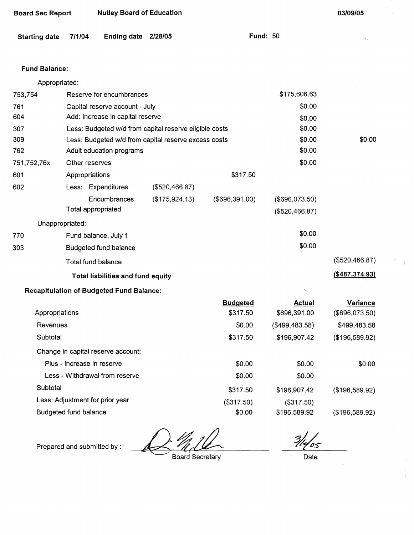| <b>Starting date</b>  | 7/1/04 | <b>Ending date</b>                              | 2/28/05                                                | <b>Fund: 50</b>   |                | Ÿ.               |
|-----------------------|--------|-------------------------------------------------|--------------------------------------------------------|-------------------|----------------|------------------|
| <b>Fund Balance:</b>  |        |                                                 |                                                        |                   |                |                  |
| Appropriated:         |        |                                                 |                                                        |                   |                |                  |
| 753,754               |        | Reserve for encumbrances                        |                                                        |                   | \$175,606.63   |                  |
| 761                   |        | Capital reserve account - July                  |                                                        |                   | \$0.00         |                  |
| 604                   |        | Add: Increase in capital reserve                |                                                        |                   | \$0.00         |                  |
| 307                   |        |                                                 | Less: Budgeted w/d from capital reserve eligible costs |                   | \$0.00         |                  |
| 309                   |        |                                                 | Less: Budgeted w/d from capital reserve excess costs   |                   | \$0.00         | \$0.00           |
| 762                   |        | Adult education programs                        |                                                        |                   | \$0.00         |                  |
| 751,752,76x           |        | Other reserves                                  |                                                        |                   | \$0.00         |                  |
| 601                   |        | Appropriations                                  |                                                        | \$317.50          |                |                  |
| 602                   |        | Less: Expenditures                              | (\$520,466.87)                                         |                   |                |                  |
|                       |        | Encumbrances                                    | (\$175,924.13)                                         | $($ \$696,391.00) | (\$696,073.50) |                  |
|                       |        | Total appropriated                              |                                                        |                   | (\$520,466.87) |                  |
| Unappropriated:       |        |                                                 |                                                        |                   |                |                  |
| 770                   |        | Fund balance, July 1                            |                                                        |                   | \$0.00         |                  |
| 303                   |        | Budgeted fund balance                           |                                                        |                   | \$0.00         |                  |
|                       |        | Total fund balance                              |                                                        |                   |                | (\$520,466.87)   |
|                       |        | <b>Total liabilities and fund equity</b>        |                                                        |                   |                | ( \$487, 374.93) |
|                       |        | <b>Recapitulation of Budgeted Fund Balance:</b> |                                                        |                   |                |                  |
|                       |        |                                                 |                                                        | <b>Budgeted</b>   | <b>Actual</b>  | <b>Variance</b>  |
| Appropriations        |        |                                                 |                                                        | \$317.50          | \$696,391.00   | (\$696,073.50)   |
| Revenues              |        |                                                 |                                                        | \$0.00            | (\$499,483.58) | \$499,483.58     |
| Subtotal              |        |                                                 |                                                        | \$317.50          | \$196,907.42   | (\$196,589.92)   |
|                       |        | Change in capital reserve account:              |                                                        |                   |                |                  |
|                       |        | Plus - Increase in reserve                      |                                                        | \$0.00            | \$0.00         | \$0.00           |
|                       |        | Less - Withdrawal from reserve                  |                                                        | \$0.00            | \$0.00         |                  |
| Subtotal              |        |                                                 |                                                        | \$317.50          | \$196,907.42   | (\$196,589.92)   |
|                       |        | Less: Adjustment for prior year                 |                                                        | (\$317.50)        | (\$317.50)     |                  |
| Budgeted fund balance |        |                                                 |                                                        | \$0.00            | \$196,589.92   | (\$196,589.92)   |
|                       |        |                                                 |                                                        |                   |                |                  |

Prepared and submitted by:  $\frac{M}{B}$ 

**Board Sec Report Nutley Board of Education** 

 $\frac{2}{4}$ Date

**03/09/05** 

Ţ.

Ť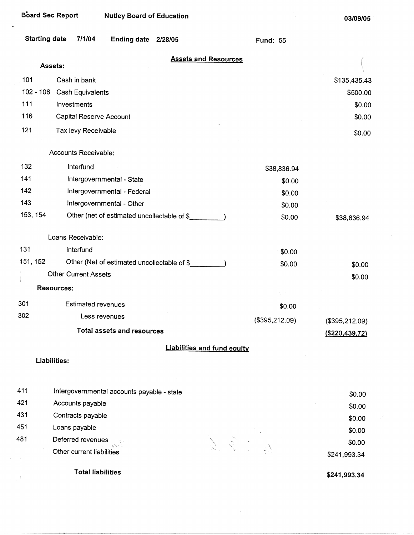$\dot{\mathbb{I}}$ 

| <b>Starting date</b> | 7/1/04                      | Ending date 2/28/05                         |                                    | <b>Fund: 55</b> |                  |
|----------------------|-----------------------------|---------------------------------------------|------------------------------------|-----------------|------------------|
|                      | Assets:                     |                                             | <b>Assets and Resources</b>        |                 |                  |
| 101                  | Cash in bank                |                                             |                                    |                 | \$135,435.43     |
| $102 - 106$          | Cash Equivalents            |                                             |                                    |                 | \$500.00         |
| 111                  | Investments                 |                                             |                                    |                 | \$0.00           |
| 116                  | Capital Reserve Account     |                                             |                                    |                 | \$0.00           |
| 121                  | Tax levy Receivable         |                                             |                                    |                 | \$0.00           |
|                      | Accounts Receivable:        |                                             |                                    |                 |                  |
| 132                  | Interfund                   |                                             |                                    | \$38,836.94     |                  |
| 141                  |                             | Intergovernmental - State                   |                                    | \$0.00          |                  |
| 142                  |                             | Intergovernmental - Federal                 |                                    | \$0.00          |                  |
| 143                  |                             | Intergovernmental - Other                   |                                    | \$0.00          |                  |
| 153, 154             |                             | Other (net of estimated uncollectable of \$ |                                    | \$0.00          | \$38,836.94      |
|                      | Loans Receivable:           |                                             |                                    |                 |                  |
| 131                  | Interfund                   |                                             |                                    | \$0.00          |                  |
| 151, 152             |                             | Other (Net of estimated uncollectable of \$ |                                    | \$0.00          | \$0.00           |
|                      | <b>Other Current Assets</b> |                                             |                                    |                 | \$0.00           |
|                      | <b>Resources:</b>           |                                             |                                    |                 |                  |
| 301                  | <b>Estimated revenues</b>   |                                             |                                    | \$0.00          |                  |
| 302                  |                             | Less revenues                               |                                    | (\$395,212.09)  | (\$395,212.09)   |
|                      |                             | <b>Total assets and resources</b>           |                                    |                 | ( \$220, 439.72) |
|                      |                             |                                             | <b>Liabilities and fund equity</b> |                 |                  |
|                      | Liabilities:                |                                             |                                    |                 |                  |
| 411                  |                             | Intergovernmental accounts payable - state  |                                    |                 | \$0.00           |
| 421                  | Accounts payable            |                                             |                                    |                 | \$0.00           |
| 431                  | Contracts payable           |                                             |                                    |                 | \$0.00           |
| 451                  | Loans payable               |                                             |                                    |                 | \$0.00           |
| 481                  | Deferred revenues           |                                             |                                    |                 | \$0.00           |
|                      | Other current liabilities   |                                             | グミック                               |                 | \$241,993.34     |
|                      | <b>Total liabilities</b>    |                                             |                                    |                 | $$241$ 003 34    |

 $\bar{z}$ 

**\$241,993.34**